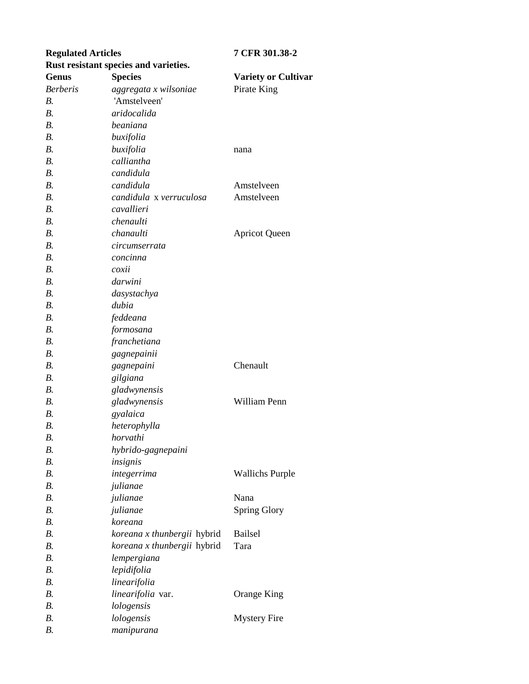| <b>Regulated Articles</b> |                                       | 7 CFR 301.38-2             |
|---------------------------|---------------------------------------|----------------------------|
|                           | Rust resistant species and varieties. |                            |
| <b>Genus</b>              | <b>Species</b>                        | <b>Variety or Cultivar</b> |
| <b>Berberis</b>           | aggregata x wilsoniae                 | Pirate King                |
| <i>B</i> .                | 'Amstelveen'                          |                            |
| $B$ .                     | aridocalida                           |                            |
| $B$ .                     | beaniana                              |                            |
| B.                        | buxifolia                             |                            |
| B.                        | buxifolia                             | nana                       |
| B.                        | calliantha                            |                            |
| B.                        | candidula                             |                            |
| $B$ .                     | candidula                             | Amstelveen                 |
| B.                        | candidula x verruculosa               | Amstelveen                 |
| <i>B</i> .                | cavallieri                            |                            |
| $B$ .                     | chenaulti                             |                            |
| B.                        | chanaulti                             | <b>Apricot Queen</b>       |
| $B$ .                     | circumserrata                         |                            |
| $B$ .                     | concinna                              |                            |
| B.                        | coxii                                 |                            |
| $B$ .                     | darwini                               |                            |
| $B$ .                     | dasystachya                           |                            |
| B.                        | dubia                                 |                            |
| $B$ .                     | feddeana                              |                            |
| <i>B</i> .                | formosana                             |                            |
| $B$ .                     | franchetiana                          |                            |
| $B$ .                     | gagnepainii                           |                            |
| <i>B</i> .                | gagnepaini                            | Chenault                   |
| B.                        | gilgiana                              |                            |
| $B$ .                     | gladwynensis                          |                            |
| <i>B</i> .                | gladwynensis                          | William Penn               |
| $B$ .                     | gyalaica                              |                            |
| В.                        | heterophylla                          |                            |
| В.                        | horvathi                              |                            |
| В.                        | hybrido-gagnepaini                    |                            |
| $B$ .                     | insignis                              |                            |
| $B$ .                     | integerrima                           | <b>Wallichs Purple</b>     |
| $B$ .                     | julianae                              |                            |
| B.                        | julianae                              | Nana                       |
| $B$ .                     | julianae                              | <b>Spring Glory</b>        |
| $B$ .                     | koreana                               |                            |
| $B$ .                     | koreana x thunbergii hybrid           | Bailsel                    |
| <i>B</i> .                | koreana x thunbergii hybrid           | Tara                       |
| $B$ .                     | lempergiana                           |                            |
| B.                        | lepidifolia                           |                            |
| $B$ .                     | linearifolia                          |                            |
| $B$ .                     | linearifolia var.                     | Orange King                |
| $B$ .                     | lologensis                            |                            |
| В.                        | lologensis                            | <b>Mystery Fire</b>        |
| В.                        | manipurana                            |                            |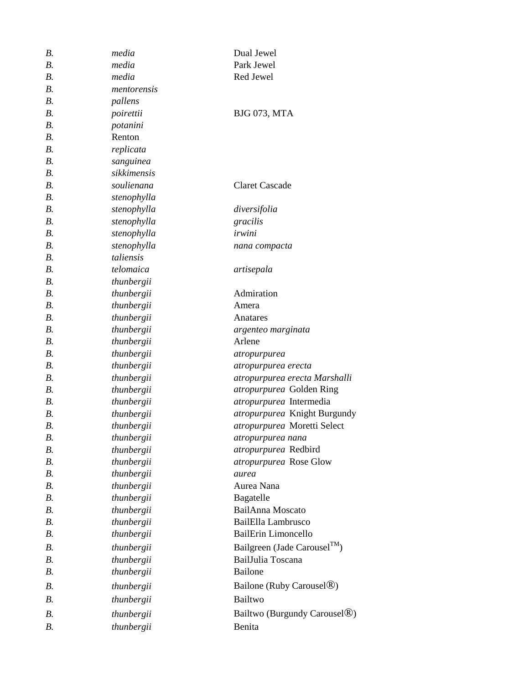| В. | media       | Dual Jewel                               |
|----|-------------|------------------------------------------|
| В. | media       | Park Jewel                               |
| B. | media       | Red Jewel                                |
| B. | mentorensis |                                          |
| B. | pallens     |                                          |
| В. | poirettii   | <b>BJG 073, MTA</b>                      |
| B. | potanini    |                                          |
| B. | Renton      |                                          |
| В. | replicata   |                                          |
| B. | sanguinea   |                                          |
| B. | sikkimensis |                                          |
| В. | soulienana  | <b>Claret Cascade</b>                    |
| B. | stenophylla |                                          |
| B. | stenophylla | diversifolia                             |
| B. | stenophylla | gracilis                                 |
| B. | stenophylla | irwini                                   |
| B. | stenophylla | nana compacta                            |
| B. | taliensis   |                                          |
| B. | telomaica   | artisepala                               |
| В. | thunbergii  |                                          |
| B. | thunbergii  | Admiration                               |
| B. | thunbergii  | Amera                                    |
| B. | thunbergii  | Anatares                                 |
| B. | thunbergii  | argenteo marginata                       |
| B. | thunbergii  | Arlene                                   |
| B. | thunbergii  | atropurpurea                             |
| В. | thunbergii  | atropurpurea erecta                      |
| B. | thunbergii  | atropurpurea erecta Marshalli            |
| B. | thunbergii  | atropurpurea Golden Ring                 |
| B. | thunbergii  | atropurpurea Intermedia                  |
| В. | thunbergii  | atropurpurea Knight Burgundy             |
| В. | thunbergii  | atropurpurea Moretti Select              |
| В. | thunbergii  | atropurpurea nana                        |
| В. | thunbergii  | atropurpurea Redbird                     |
| B. | thunbergii  | atropurpurea Rose Glow                   |
| B. | thunbergii  | aurea                                    |
| В. | thunbergii  | Aurea Nana                               |
| B. | thunbergii  | Bagatelle                                |
| B. | thunbergii  | <b>BailAnna</b> Moscato                  |
| B. | thunbergii  | BailElla Lambrusco                       |
| B. | thunbergii  | <b>BailErin Limoncello</b>               |
| B. | thunbergii  | Bailgreen (Jade Carousel <sup>TM</sup> ) |
| B. | thunbergii  | BailJulia Toscana                        |
| В. | thunbergii  | <b>Bailone</b>                           |
| В. | thunbergii  | Bailone (Ruby Carousel <sup>®)</sup>     |
| В. | thunbergii  | Bailtwo                                  |
| B. | thunbergii  | Bailtwo (Burgundy Carousel <sup>®)</sup> |
|    |             | Benita                                   |
| В. | thunbergii  |                                          |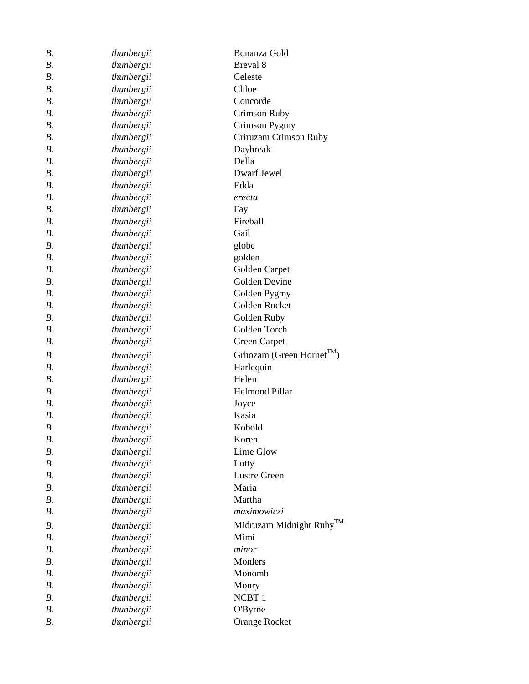| В.         | thunbergii | Bonanza Gold                          |
|------------|------------|---------------------------------------|
| В.         | thunbergii | Breval 8                              |
| В.         | thunbergii | Celeste                               |
| <i>B</i> . | thunbergii | Chloe                                 |
| <i>B</i> . | thunbergii | Concorde                              |
| В.         | thunbergii | Crimson Ruby                          |
| В.         | thunbergii | Crimson Pygmy                         |
| В.         | thunbergii | Criruzam Crimson Ruby                 |
| <i>B.</i>  | thunbergii | Daybreak                              |
| <i>B</i> . | thunbergii | Della                                 |
| В.         | thunbergii | Dwarf Jewel                           |
| <i>B</i> . | thunbergii | Edda                                  |
| В.         | thunbergii | erecta                                |
| В.         | thunbergii | Fay                                   |
| В.         | thunbergii | Fireball                              |
| $B$ .      | thunbergii | Gail                                  |
| B.         | thunbergii | globe                                 |
| В.         | thunbergii | golden                                |
| <i>B</i> . | thunbergii | Golden Carpet                         |
| $B$ .      | thunbergii | Golden Devine                         |
| В.         | thunbergii | Golden Pygmy                          |
| В.         | thunbergii | Golden Rocket                         |
| $B$ .      | thunbergii | Golden Ruby                           |
| В.         | thunbergii | Golden Torch                          |
| В.         | thunbergii | Green Carpet                          |
| В.         | thunbergii | Grhozam (Green Hornet <sup>TM</sup> ) |
| В.         | thunbergii | Harlequin                             |
| В.         | thunbergii | Helen                                 |
| <i>B</i> . | thunbergii | <b>Helmond Pillar</b>                 |
| В.         | thunbergii | Joyce                                 |
| В.         | thunbergii | Kasia                                 |
| В.         | thunbergii | Kobold                                |
| В.         | thunbergii | Koren                                 |
| В.         | thunbergii | Lime Glow                             |
| <i>B</i> . | thunbergii | Lotty                                 |
| <i>B</i> . | thunbergii | <b>Lustre Green</b>                   |
| В.         | thunbergii | Maria                                 |
| В.         | thunbergii | Martha                                |
| В.         | thunbergii | maximowiczi                           |
| <i>B</i> . | thunbergii | Midruzam Midnight Ruby™               |
| В.         | thunbergii | Mimi                                  |
| $B$ .      | thunbergii | minor                                 |
| В.         | thunbergii | Monlers                               |
| В.         | thunbergii | Monomb                                |
| <i>B</i> . | thunbergii | Monry                                 |
| В.         | thunbergii | NCBT <sub>1</sub>                     |
| В.         | thunbergii | <b>O'Byrne</b>                        |
| В.         | thunbergii | <b>Orange Rocket</b>                  |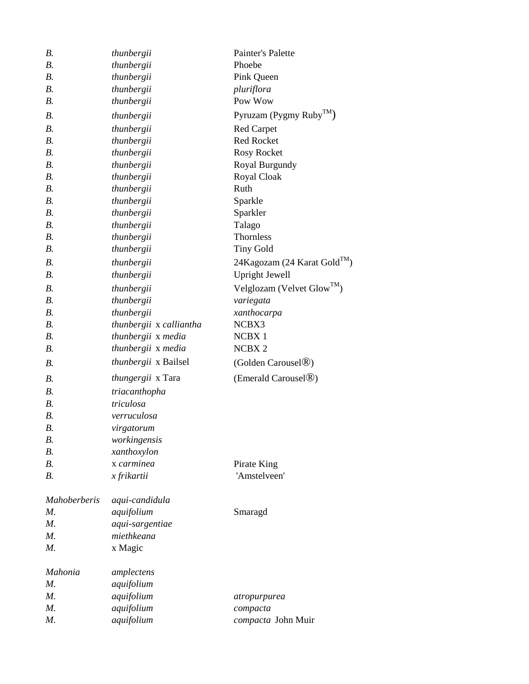| <b>B.</b>           | thunbergii               | Painter's Palette                      |
|---------------------|--------------------------|----------------------------------------|
| $B$ .               | thunbergii               | Phoebe                                 |
| $B$ .               | thunbergii               | Pink Queen                             |
| <i>B</i> .          | thunbergii               | pluriflora                             |
| <i>B</i> .          | thunbergii               | Pow Wow                                |
| В.                  | thunbergii               | Pyruzam (Pygmy Ruby <sup>TM</sup> )    |
| $B$ .               | thunbergii               | <b>Red Carpet</b>                      |
| $B$ .               | thunbergii               | <b>Red Rocket</b>                      |
| $B$ .               | thunbergii               | Rosy Rocket                            |
| $B$ .               | thunbergii               | Royal Burgundy                         |
| $B$ .               | thunbergii               | Royal Cloak                            |
| В.                  | thunbergii               | Ruth                                   |
| $B$ .               | thunbergii               | Sparkle                                |
| B.                  | thunbergii               | Sparkler                               |
| $B$ .               | thunbergii               | Talago                                 |
| $B$ .               | thunbergii               | Thornless                              |
| $B$ .               | thunbergii               | <b>Tiny Gold</b>                       |
| <i>B</i> .          | thunbergii               | 24Kagozam (24 Karat Gold™)             |
| B.                  | thunbergii               | <b>Upright Jewell</b>                  |
| В.                  | thunbergii               | Velglozam (Velvet Glow <sup>TM</sup> ) |
| $B$ .               | thunbergii               | variegata                              |
| $B$ .               | thunbergii               | xanthocarpa                            |
| <i>B</i> .          | thunbergii x calliantha  | NCBX3                                  |
| B.                  | thunbergii x media       | NCBX <sub>1</sub>                      |
| <b>B.</b>           | thunbergii x media       | <b>NCBX2</b>                           |
| <i>B</i> .          | thunbergii x Bailsel     | (Golden Carousel <sup>®)</sup>         |
| $B$ .               | <i>thungergii</i> x Tara | (Emerald Carousel <sup>®)</sup>        |
| $B$ .               | triacanthopha            |                                        |
| $B$ .               | triculosa                |                                        |
| В.                  | verruculosa              |                                        |
| <b>B.</b>           | virgatorum               |                                        |
| В.                  | workingensis             |                                        |
| <i>B</i> .          | xanthoxylon              |                                        |
| $B$ .               | x carminea               | Pirate King                            |
| $B$ .               | x frikartii              | 'Amstelveen'                           |
| <b>Mahoberberis</b> | aqui-candidula           |                                        |
| $M_{\cdot}$         | aquifolium               | Smaragd                                |
| $M_{\cdot}$         | aqui-sargentiae          |                                        |
| $M_{\cdot}$         | miethkeana               |                                        |
| $M_{\cdot}$         | x Magic                  |                                        |
|                     |                          |                                        |
| Mahonia             | amplectens               |                                        |
| М.                  | aquifolium               |                                        |
| $M_{\cdot}$         | aquifolium               | atropurpurea                           |
| $M_{\cdot}$         | aquifolium               | compacta                               |
| М.                  | aquifolium               | compacta John Muir                     |